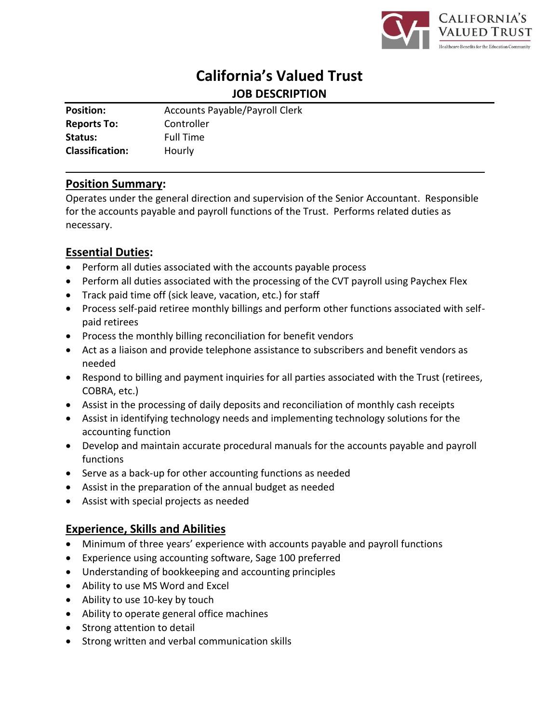

# **California's Valued Trust JOB DESCRIPTION**

| <b>Position:</b>       | <b>Accounts Payable/Payroll Clerk</b> |
|------------------------|---------------------------------------|
| <b>Reports To:</b>     | Controller                            |
| Status:                | <b>Full Time</b>                      |
| <b>Classification:</b> | Hourly                                |

## **Position Summary:**

Operates under the general direction and supervision of the Senior Accountant. Responsible for the accounts payable and payroll functions of the Trust. Performs related duties as necessary.

# **Essential Duties:**

- Perform all duties associated with the accounts payable process
- Perform all duties associated with the processing of the CVT payroll using Paychex Flex
- Track paid time off (sick leave, vacation, etc.) for staff
- Process self-paid retiree monthly billings and perform other functions associated with selfpaid retirees
- Process the monthly billing reconciliation for benefit vendors
- Act as a liaison and provide telephone assistance to subscribers and benefit vendors as needed
- Respond to billing and payment inquiries for all parties associated with the Trust (retirees, COBRA, etc.)
- Assist in the processing of daily deposits and reconciliation of monthly cash receipts
- Assist in identifying technology needs and implementing technology solutions for the accounting function
- Develop and maintain accurate procedural manuals for the accounts payable and payroll functions
- Serve as a back-up for other accounting functions as needed
- Assist in the preparation of the annual budget as needed
- Assist with special projects as needed

# **Experience, Skills and Abilities**

- Minimum of three years' experience with accounts payable and payroll functions
- Experience using accounting software, Sage 100 preferred
- Understanding of bookkeeping and accounting principles
- Ability to use MS Word and Excel
- Ability to use 10-key by touch
- Ability to operate general office machines
- Strong attention to detail
- Strong written and verbal communication skills